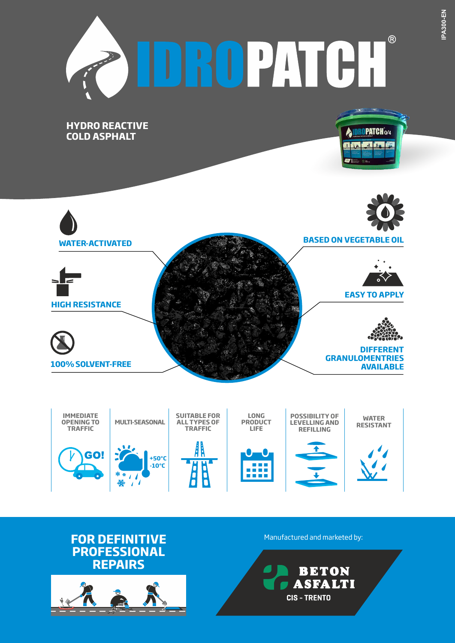







**CIS - TRENTO** 

**BETON ASFALTI**  **IPA300-EN**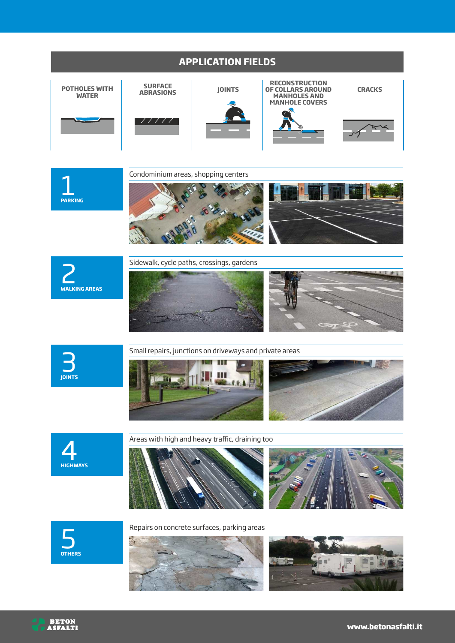

**L**<br>PARKING

Condominium areas, shopping centers





Sidewalk, cycle paths, crossings, gardens







## Small repairs, junctions on driveways and private areas







Areas with high and heavy traffic, draining too







Repairs on concrete surfaces, parking areas





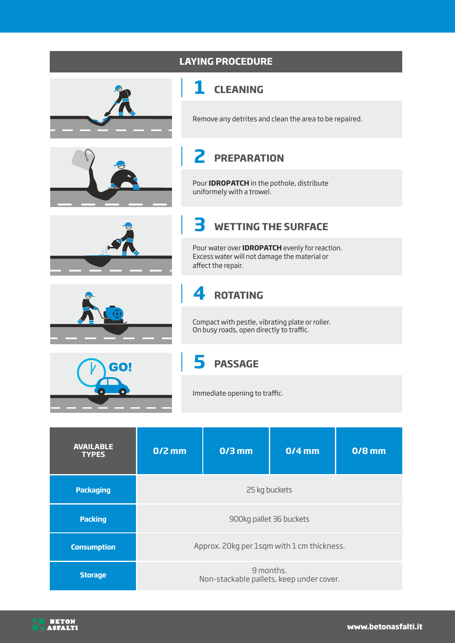

| .                  |                                                       |  |  |  |
|--------------------|-------------------------------------------------------|--|--|--|
| <b>Packaging</b>   | 25 kg buckets                                         |  |  |  |
| <b>Packing</b>     | 900kg pallet 36 buckets                               |  |  |  |
| <b>Consumption</b> | Approx. 20kg per 1sqm with 1 cm thickness.            |  |  |  |
| <b>Storage</b>     | 9 months.<br>Non-stackable pallets, keep under cover. |  |  |  |